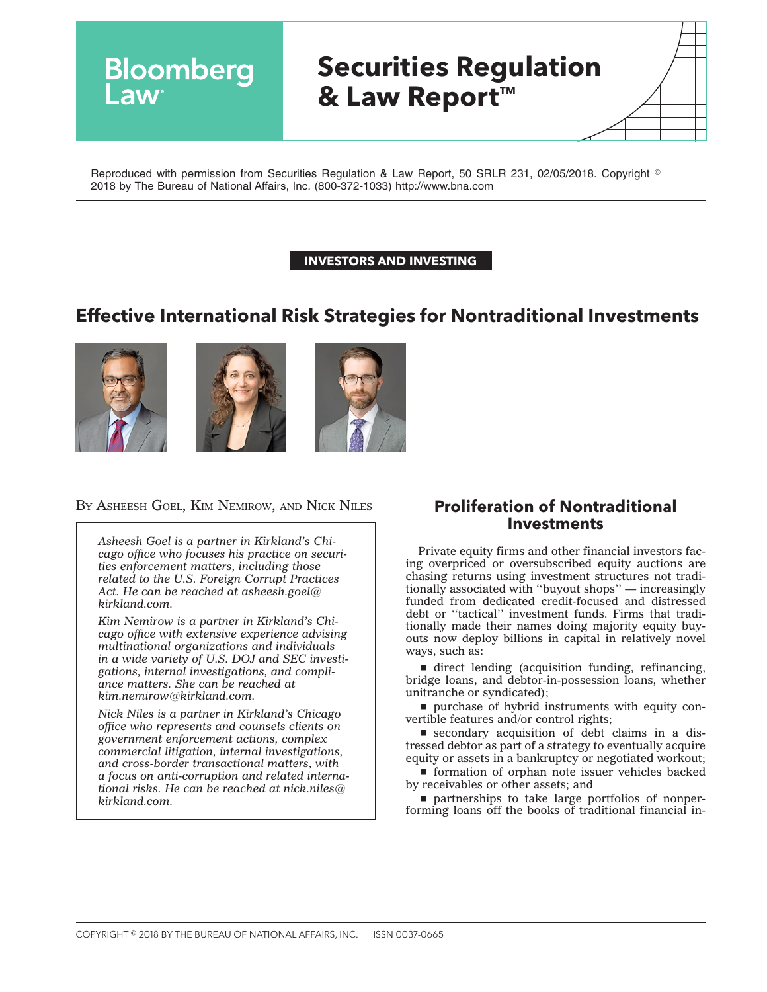# **Securities Regulation & Law Report™**

Reproduced with permission from Securities Regulation & Law Report, 50 SRLR 231, 02/05/2018. Copyright © 2018 by The Bureau of National Affairs, Inc. (800-372-1033) http://www.bna.com

#### **INVESTORS AND INVESTING**

# **Effective International Risk Strategies for Nontraditional Investments**





**Bloomberg** 



#### BY ASHEESH GOEL, KIM NEMIROW, AND NICK NILES **Proliferation of Nontraditional**

*Asheesh Goel is a partner in Kirkland's Chicago office who focuses his practice on securities enforcement matters, including those related to the U.S. Foreign Corrupt Practices Act. He can be reached at [asheesh.goel@](mailto:asheesh.goel@kirkland.com) [kirkland.com.](mailto:asheesh.goel@kirkland.com)*

*Kim Nemirow is a partner in Kirkland's Chicago office with extensive experience advising multinational organizations and individuals in a wide variety of U.S. DOJ and SEC investigations, internal investigations, and compliance matters. She can be reached at [kim.nemirow@kirkland.com.](mailto:kim.nemirow@kirkland.com)*

*Nick Niles is a partner in Kirkland's Chicago office who represents and counsels clients on government enforcement actions, complex commercial litigation, internal investigations, and cross-border transactional matters, with a focus on anti-corruption and related international risks. He can be reached at [nick.niles@](mailto:nick.niles@kirkland.com) [kirkland.com.](mailto:nick.niles@kirkland.com)*

# **Investments**

Private equity firms and other financial investors facing overpriced or oversubscribed equity auctions are chasing returns using investment structures not traditionally associated with ''buyout shops'' — increasingly funded from dedicated credit-focused and distressed debt or ''tactical'' investment funds. Firms that traditionally made their names doing majority equity buyouts now deploy billions in capital in relatively novel ways, such as:

 $\blacksquare$  direct lending (acquisition funding, refinancing, bridge loans, and debtor-in-possession loans, whether unitranche or syndicated);

**purchase of hybrid instruments with equity con**vertible features and/or control rights;

 $\blacksquare$  secondary acquisition of debt claims in a distressed debtor as part of a strategy to eventually acquire equity or assets in a bankruptcy or negotiated workout;

 $\blacksquare$  formation of orphan note issuer vehicles backed by receivables or other assets; and

 $\blacksquare$  partnerships to take large portfolios of nonperforming loans off the books of traditional financial in-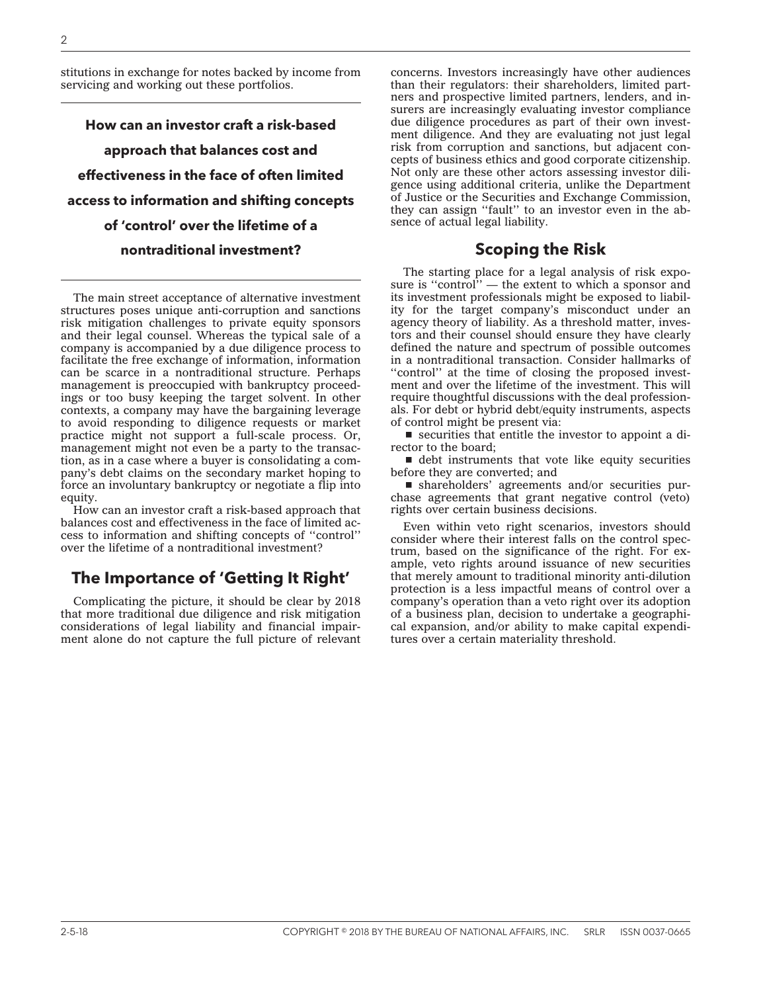stitutions in exchange for notes backed by income from servicing and working out these portfolios.

**How can an investor craft a risk-based approach that balances cost and effectiveness in the face of often limited access to information and shifting concepts of 'control' over the lifetime of a nontraditional investment?**

The main street acceptance of alternative investment structures poses unique anti-corruption and sanctions risk mitigation challenges to private equity sponsors and their legal counsel. Whereas the typical sale of a company is accompanied by a due diligence process to facilitate the free exchange of information, information can be scarce in a nontraditional structure. Perhaps management is preoccupied with bankruptcy proceedings or too busy keeping the target solvent. In other contexts, a company may have the bargaining leverage to avoid responding to diligence requests or market practice might not support a full-scale process. Or, management might not even be a party to the transaction, as in a case where a buyer is consolidating a company's debt claims on the secondary market hoping to force an involuntary bankruptcy or negotiate a flip into equity.

How can an investor craft a risk-based approach that balances cost and effectiveness in the face of limited access to information and shifting concepts of ''control'' over the lifetime of a nontraditional investment?

# **The Importance of 'Getting It Right'**

Complicating the picture, it should be clear by 2018 that more traditional due diligence and risk mitigation considerations of legal liability and financial impairment alone do not capture the full picture of relevant concerns. Investors increasingly have other audiences than their regulators: their shareholders, limited partners and prospective limited partners, lenders, and insurers are increasingly evaluating investor compliance due diligence procedures as part of their own investment diligence. And they are evaluating not just legal risk from corruption and sanctions, but adjacent concepts of business ethics and good corporate citizenship. Not only are these other actors assessing investor diligence using additional criteria, unlike the Department of Justice or the Securities and Exchange Commission, they can assign ''fault'' to an investor even in the absence of actual legal liability.

## **Scoping the Risk**

The starting place for a legal analysis of risk exposure is "control" — the extent to which a sponsor and its investment professionals might be exposed to liability for the target company's misconduct under an agency theory of liability. As a threshold matter, investors and their counsel should ensure they have clearly defined the nature and spectrum of possible outcomes in a nontraditional transaction. Consider hallmarks of "control" at the time of closing the proposed investment and over the lifetime of the investment. This will require thoughtful discussions with the deal professionals. For debt or hybrid debt/equity instruments, aspects of control might be present via:

 $\blacksquare$  securities that entitle the investor to appoint a director to the board;

 $\blacksquare$  debt instruments that vote like equity securities before they are converted; and

■ shareholders' agreements and/or securities purchase agreements that grant negative control (veto) rights over certain business decisions.

Even within veto right scenarios, investors should consider where their interest falls on the control spectrum, based on the significance of the right. For example, veto rights around issuance of new securities that merely amount to traditional minority anti-dilution protection is a less impactful means of control over a company's operation than a veto right over its adoption of a business plan, decision to undertake a geographical expansion, and/or ability to make capital expenditures over a certain materiality threshold.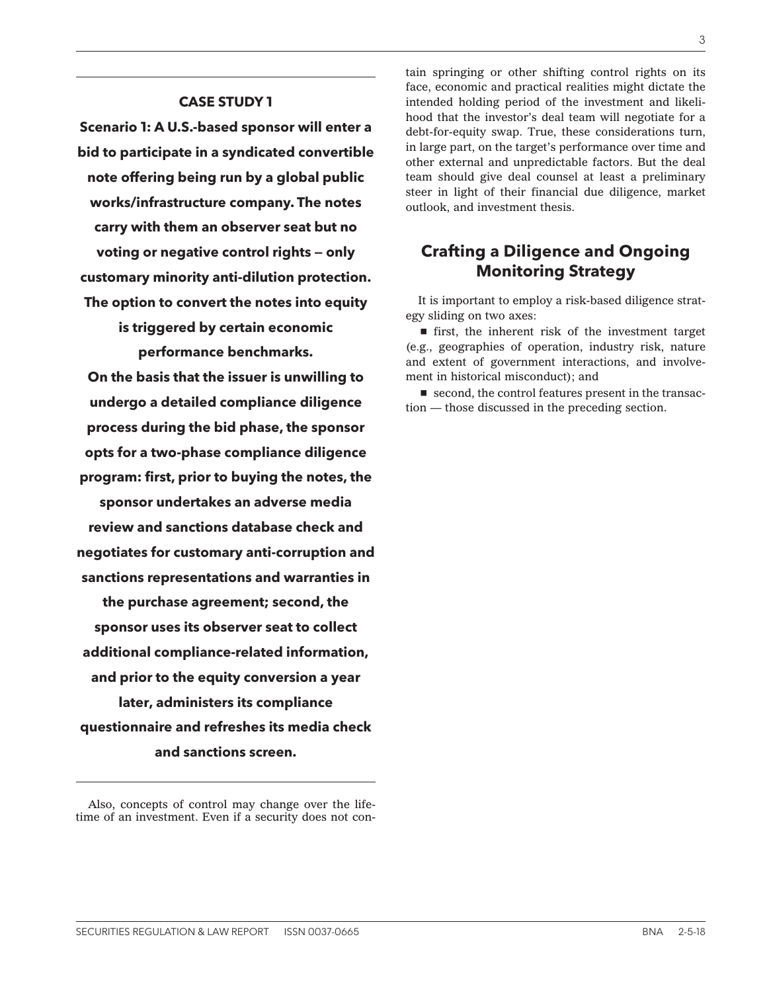#### **CASE STUDY 1**

**Scenario 1: A U.S.-based sponsor will enter a bid to participate in a syndicated convertible note offering being run by a global public works/infrastructure company. The notes carry with them an observer seat but no voting or negative control rights — only customary minority anti-dilution protection. The option to convert the notes into equity is triggered by certain economic**

**performance benchmarks.**

**On the basis that the issuer is unwilling to undergo a detailed compliance diligence process during the bid phase, the sponsor opts for a two-phase compliance diligence program: first, prior to buying the notes, the sponsor undertakes an adverse media review and sanctions database check and negotiates for customary anti-corruption and sanctions representations and warranties in the purchase agreement; second, the sponsor uses its observer seat to collect additional compliance-related information, and prior to the equity conversion a year later, administers its compliance questionnaire and refreshes its media check and sanctions screen.**

tain springing or other shifting control rights on its face, economic and practical realities might dictate the intended holding period of the investment and likelihood that the investor's deal team will negotiate for a debt-for-equity swap. True, these considerations turn, in large part, on the target's performance over time and other external and unpredictable factors. But the deal team should give deal counsel at least a preliminary steer in light of their financial due diligence, market outlook, and investment thesis.

# **Crafting a Diligence and Ongoing Monitoring Strategy**

It is important to employ a risk-based diligence strategy sliding on two axes:

 $\blacksquare$  first, the inherent risk of the investment target (e.g., geographies of operation, industry risk, nature and extent of government interactions, and involvement in historical misconduct); and

 $\blacksquare$  second, the control features present in the transaction — those discussed in the preceding section.

Also, concepts of control may change over the lifetime of an investment. Even if a security does not con-